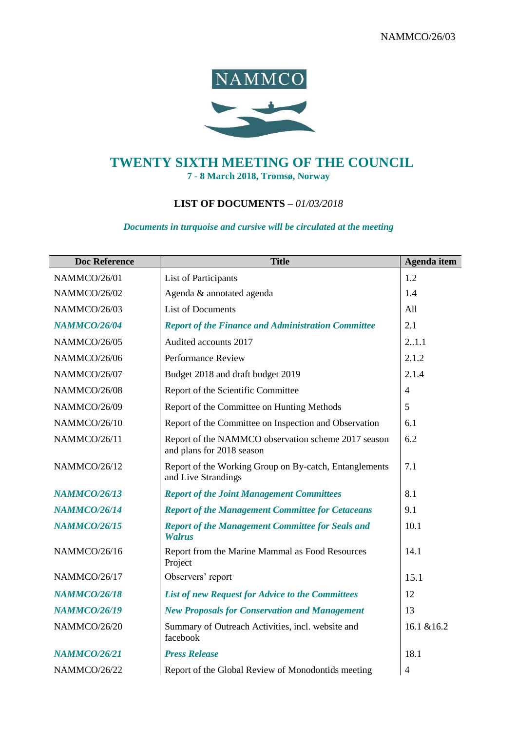

## **TWENTY SIXTH MEETING OF THE COUNCIL 7 - 8 March 2018, Tromsø, Norway**

## **LIST OF DOCUMENTS –** *01/03/2018*

## *Documents in turquoise and cursive will be circulated at the meeting*

| <b>Doc Reference</b> | <b>Title</b>                                                                     | Agenda item    |
|----------------------|----------------------------------------------------------------------------------|----------------|
| NAMMCO/26/01         | List of Participants                                                             | 1.2            |
| NAMMCO/26/02         | Agenda & annotated agenda                                                        | 1.4            |
| <b>NAMMCO/26/03</b>  | <b>List of Documents</b>                                                         | All            |
| <b>NAMMCO/26/04</b>  | <b>Report of the Finance and Administration Committee</b>                        | 2.1            |
| NAMMCO/26/05         | Audited accounts 2017                                                            | 21.1           |
| NAMMCO/26/06         | <b>Performance Review</b>                                                        | 2.1.2          |
| NAMMCO/26/07         | Budget 2018 and draft budget 2019                                                | 2.1.4          |
| NAMMCO/26/08         | Report of the Scientific Committee                                               | $\overline{4}$ |
| NAMMCO/26/09         | Report of the Committee on Hunting Methods                                       | 5              |
| NAMMCO/26/10         | Report of the Committee on Inspection and Observation                            | 6.1            |
| NAMMCO/26/11         | Report of the NAMMCO observation scheme 2017 season<br>and plans for 2018 season | 6.2            |
| NAMMCO/26/12         | Report of the Working Group on By-catch, Entanglements<br>and Live Strandings    | 7.1            |
| <b>NAMMCO/26/13</b>  | <b>Report of the Joint Management Committees</b>                                 | 8.1            |
| <b>NAMMCO/26/14</b>  | <b>Report of the Management Committee for Cetaceans</b>                          | 9.1            |
| <b>NAMMCO/26/15</b>  | <b>Report of the Management Committee for Seals and</b><br><b>Walrus</b>         | 10.1           |
| NAMMCO/26/16         | Report from the Marine Mammal as Food Resources<br>Project                       | 14.1           |
| NAMMCO/26/17         | Observers' report                                                                | 15.1           |
| <b>NAMMCO/26/18</b>  | <b>List of new Request for Advice to the Committees</b>                          | 12             |
| <b>NAMMCO/26/19</b>  | <b>New Proposals for Conservation and Management</b>                             | 13             |
| NAMMCO/26/20         | Summary of Outreach Activities, incl. website and<br>facebook                    | 16.1 & 16.2    |
| <b>NAMMCO/26/21</b>  | <b>Press Release</b>                                                             | 18.1           |
| NAMMCO/26/22         | Report of the Global Review of Monodontids meeting                               | $\overline{4}$ |